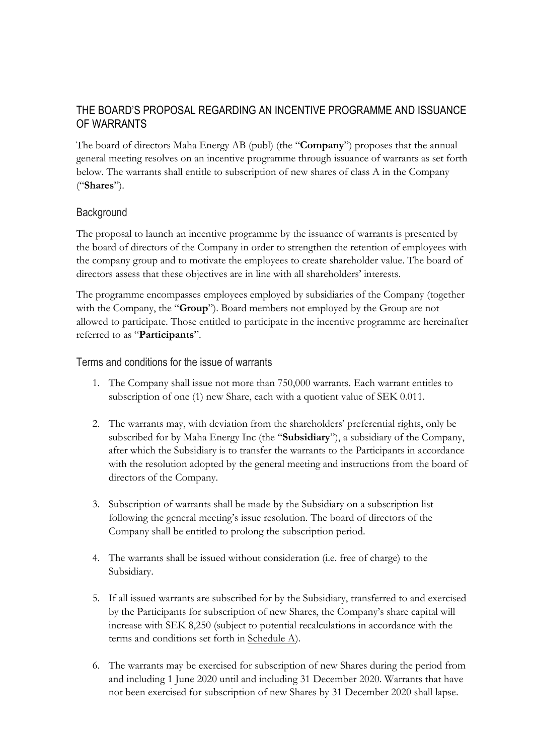# THE BOARD'S PROPOSAL REGARDING AN INCENTIVE PROGRAMME AND ISSUANCE OF WARRANTS

The board of directors Maha Energy AB (publ) (the "**Company**") proposes that the annual general meeting resolves on an incentive programme through issuance of warrants as set forth below. The warrants shall entitle to subscription of new shares of class A in the Company ("**Shares**").

## **Background**

The proposal to launch an incentive programme by the issuance of warrants is presented by the board of directors of the Company in order to strengthen the retention of employees with the company group and to motivate the employees to create shareholder value. The board of directors assess that these objectives are in line with all shareholders' interests.

The programme encompasses employees employed by subsidiaries of the Company (together with the Company, the "**Group**"). Board members not employed by the Group are not allowed to participate. Those entitled to participate in the incentive programme are hereinafter referred to as "**Participants**".

Terms and conditions for the issue of warrants

- 1. The Company shall issue not more than 750,000 warrants. Each warrant entitles to subscription of one (1) new Share, each with a quotient value of SEK 0.011.
- 2. The warrants may, with deviation from the shareholders' preferential rights, only be subscribed for by Maha Energy Inc (the "**Subsidiary**"), a subsidiary of the Company, after which the Subsidiary is to transfer the warrants to the Participants in accordance with the resolution adopted by the general meeting and instructions from the board of directors of the Company.
- 3. Subscription of warrants shall be made by the Subsidiary on a subscription list following the general meeting's issue resolution. The board of directors of the Company shall be entitled to prolong the subscription period.
- 4. The warrants shall be issued without consideration (i.e. free of charge) to the Subsidiary.
- 5. If all issued warrants are subscribed for by the Subsidiary, transferred to and exercised by the Participants for subscription of new Shares, the Company's share capital will increase with SEK 8,250 (subject to potential recalculations in accordance with the terms and conditions set forth in Schedule A).
- 6. The warrants may be exercised for subscription of new Shares during the period from and including 1 June 2020 until and including 31 December 2020. Warrants that have not been exercised for subscription of new Shares by 31 December 2020 shall lapse.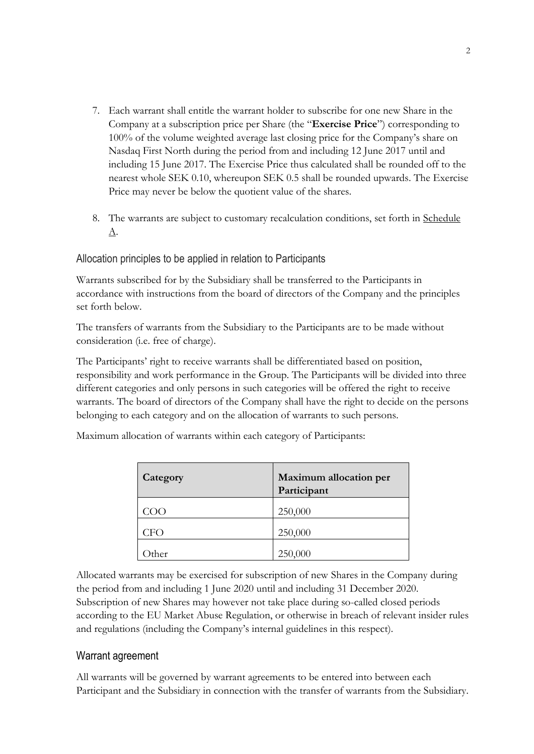- 7. Each warrant shall entitle the warrant holder to subscribe for one new Share in the Company at a subscription price per Share (the "**Exercise Price**") corresponding to 100% of the volume weighted average last closing price for the Company's share on Nasdaq First North during the period from and including 12 June 2017 until and including 15 June 2017. The Exercise Price thus calculated shall be rounded off to the nearest whole SEK 0.10, whereupon SEK 0.5 shall be rounded upwards. The Exercise Price may never be below the quotient value of the shares.
- 8. The warrants are subject to customary recalculation conditions, set forth in Schedule A.

## Allocation principles to be applied in relation to Participants

Warrants subscribed for by the Subsidiary shall be transferred to the Participants in accordance with instructions from the board of directors of the Company and the principles set forth below.

The transfers of warrants from the Subsidiary to the Participants are to be made without consideration (i.e. free of charge).

The Participants' right to receive warrants shall be differentiated based on position, responsibility and work performance in the Group. The Participants will be divided into three different categories and only persons in such categories will be offered the right to receive warrants. The board of directors of the Company shall have the right to decide on the persons belonging to each category and on the allocation of warrants to such persons.

| Category | <b>Maximum allocation per</b><br>Participant |
|----------|----------------------------------------------|
| COO      | 250,000                                      |
| CFO      | 250,000                                      |
| ther     | 250,000                                      |

Maximum allocation of warrants within each category of Participants:

Allocated warrants may be exercised for subscription of new Shares in the Company during the period from and including 1 June 2020 until and including 31 December 2020. Subscription of new Shares may however not take place during so-called closed periods according to the EU Market Abuse Regulation, or otherwise in breach of relevant insider rules and regulations (including the Company's internal guidelines in this respect).

#### Warrant agreement

All warrants will be governed by warrant agreements to be entered into between each Participant and the Subsidiary in connection with the transfer of warrants from the Subsidiary.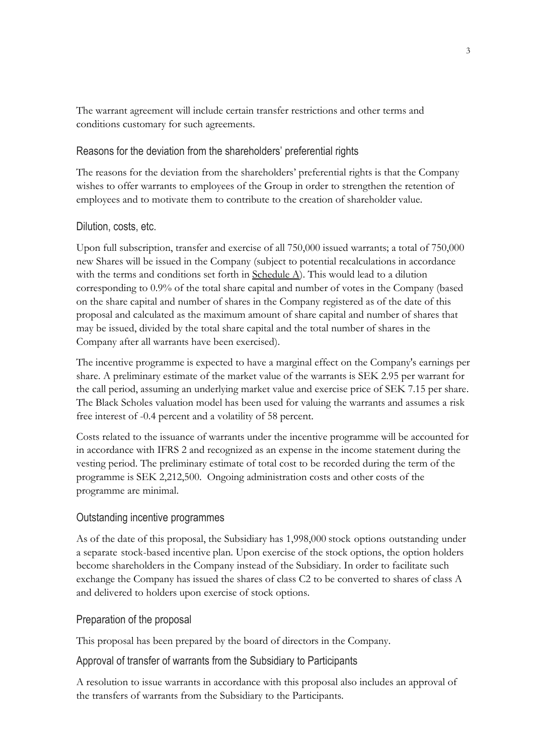The warrant agreement will include certain transfer restrictions and other terms and conditions customary for such agreements.

## Reasons for the deviation from the shareholders' preferential rights

The reasons for the deviation from the shareholders' preferential rights is that the Company wishes to offer warrants to employees of the Group in order to strengthen the retention of employees and to motivate them to contribute to the creation of shareholder value.

### Dilution, costs, etc.

Upon full subscription, transfer and exercise of all 750,000 issued warrants; a total of 750,000 new Shares will be issued in the Company (subject to potential recalculations in accordance with the terms and conditions set forth in Schedule A). This would lead to a dilution corresponding to 0.9% of the total share capital and number of votes in the Company (based on the share capital and number of shares in the Company registered as of the date of this proposal and calculated as the maximum amount of share capital and number of shares that may be issued, divided by the total share capital and the total number of shares in the Company after all warrants have been exercised).

The incentive programme is expected to have a marginal effect on the Company's earnings per share. A preliminary estimate of the market value of the warrants is SEK 2.95 per warrant for the call period, assuming an underlying market value and exercise price of SEK 7.15 per share. The Black Scholes valuation model has been used for valuing the warrants and assumes a risk free interest of -0.4 percent and a volatility of 58 percent.

Costs related to the issuance of warrants under the incentive programme will be accounted for in accordance with IFRS 2 and recognized as an expense in the income statement during the vesting period. The preliminary estimate of total cost to be recorded during the term of the programme is SEK 2,212,500. Ongoing administration costs and other costs of the programme are minimal.

#### Outstanding incentive programmes

As of the date of this proposal, the Subsidiary has 1,998,000 stock options outstanding under a separate stock-based incentive plan. Upon exercise of the stock options, the option holders become shareholders in the Company instead of the Subsidiary. In order to facilitate such exchange the Company has issued the shares of class C2 to be converted to shares of class A and delivered to holders upon exercise of stock options.

#### Preparation of the proposal

This proposal has been prepared by the board of directors in the Company.

#### Approval of transfer of warrants from the Subsidiary to Participants

A resolution to issue warrants in accordance with this proposal also includes an approval of the transfers of warrants from the Subsidiary to the Participants.